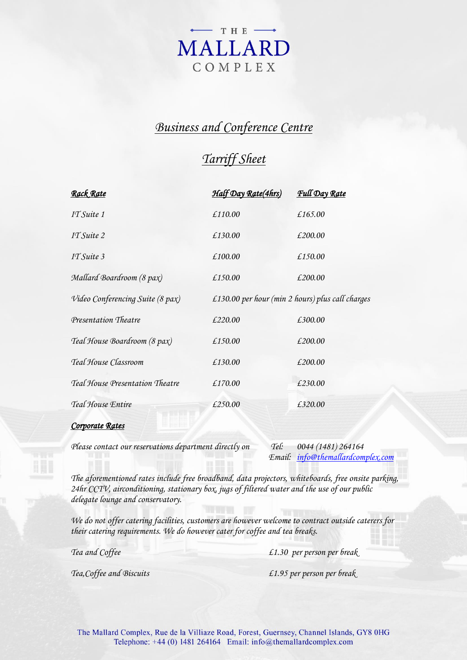

# *Business and Conference Centre*

# *Tarriff Sheet*

| Full Day Rate                                    |
|--------------------------------------------------|
| £165.00                                          |
| £200.00                                          |
| £150.00                                          |
| £200.00                                          |
| £130.00 per hour (min 2 hours) plus call charges |
| £300.00                                          |
| £200.00                                          |
| £200.00                                          |
| £230.00                                          |
| £320.00                                          |
|                                                  |

## *Corporate Rates*

*Please contact our reservations department directly on Tel: 0044 (1481) 264164*

*Email: [info@themallardcomplex.com](mailto:info@themallardcomplex.com)*

*The aforementioned rates include free broadband, data projectors, whiteboards, free onsite parking, 24hr CCTV, airconditioning, stationary box, jugs of filtered water and the use of our public delegate lounge and conservatory.* 

*We do not offer catering facilities, customers are however welcome to contract outside caterers for their catering requirements. We do however cater for coffee and tea breaks.*

*Tea and Coffee £1.30 per person per break*

*Tea,Coffee and Biscuits £1.95 per person per break*

The Mallard Complex, Rue de la Villiaze Road, Forest, Guernsey, Channel Islands, GY8 0HG Telephone: +44 (0) 1481 264164 Email: info@themallardcomplex.com